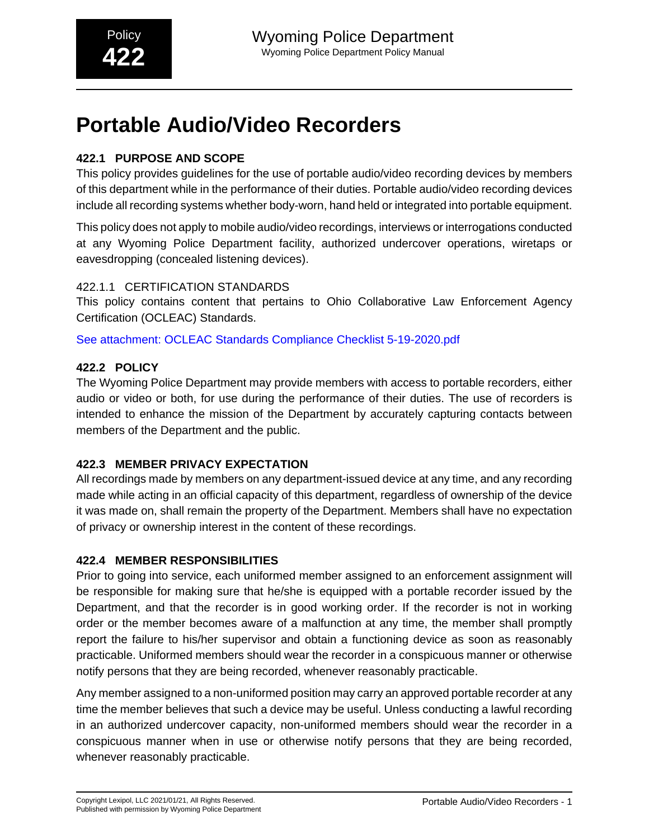# **Portable Audio/Video Recorders**

# **422.1 PURPOSE AND SCOPE**

This policy provides guidelines for the use of portable audio/video recording devices by members of this department while in the performance of their duties. Portable audio/video recording devices include all recording systems whether body-worn, hand held or integrated into portable equipment.

This policy does not apply to mobile audio/video recordings, interviews or interrogations conducted at any Wyoming Police Department facility, authorized undercover operations, wiretaps or eavesdropping (concealed listening devices).

# 422.1.1 CERTIFICATION STANDARDS

This policy contains content that pertains to Ohio Collaborative Law Enforcement Agency Certification (OCLEAC) Standards.

See attachment: OCLEAC Standards Compliance Checklist 5-19-2020.pdf

# **422.2 POLICY**

The Wyoming Police Department may provide members with access to portable recorders, either audio or video or both, for use during the performance of their duties. The use of recorders is intended to enhance the mission of the Department by accurately capturing contacts between members of the Department and the public.

# **422.3 MEMBER PRIVACY EXPECTATION**

All recordings made by members on any department-issued device at any time, and any recording made while acting in an official capacity of this department, regardless of ownership of the device it was made on, shall remain the property of the Department. Members shall have no expectation of privacy or ownership interest in the content of these recordings.

# **422.4 MEMBER RESPONSIBILITIES**

Prior to going into service, each uniformed member assigned to an enforcement assignment will be responsible for making sure that he/she is equipped with a portable recorder issued by the Department, and that the recorder is in good working order. If the recorder is not in working order or the member becomes aware of a malfunction at any time, the member shall promptly report the failure to his/her supervisor and obtain a functioning device as soon as reasonably practicable. Uniformed members should wear the recorder in a conspicuous manner or otherwise notify persons that they are being recorded, whenever reasonably practicable.

Any member assigned to a non-uniformed position may carry an approved portable recorder at any time the member believes that such a device may be useful. Unless conducting a lawful recording in an authorized undercover capacity, non-uniformed members should wear the recorder in a conspicuous manner when in use or otherwise notify persons that they are being recorded, whenever reasonably practicable.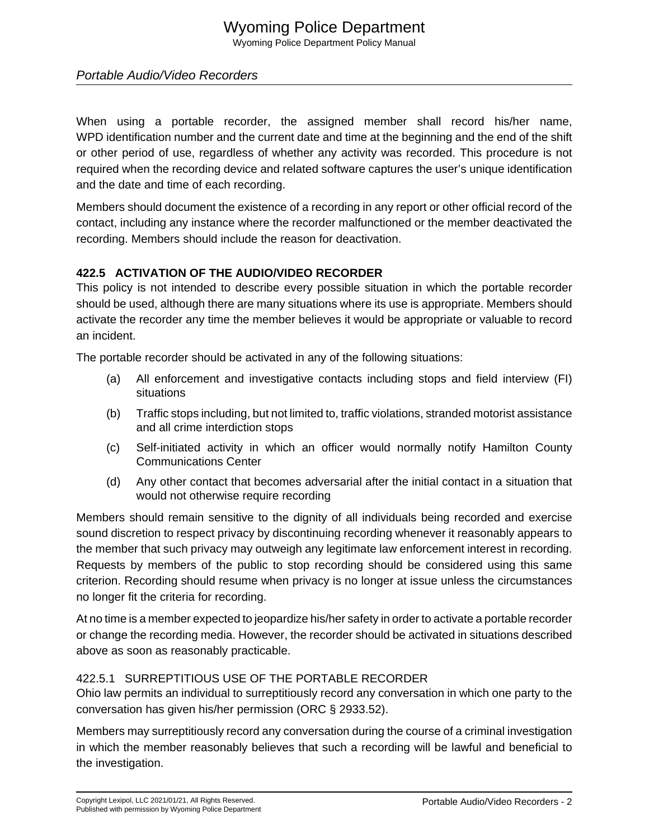# Wyoming Police Department Wyoming Police Department Policy Manual

# Portable Audio/Video Recorders

When using a portable recorder, the assigned member shall record his/her name, WPD identification number and the current date and time at the beginning and the end of the shift or other period of use, regardless of whether any activity was recorded. This procedure is not required when the recording device and related software captures the user's unique identification and the date and time of each recording.

Members should document the existence of a recording in any report or other official record of the contact, including any instance where the recorder malfunctioned or the member deactivated the recording. Members should include the reason for deactivation.

## **422.5 ACTIVATION OF THE AUDIO/VIDEO RECORDER**

This policy is not intended to describe every possible situation in which the portable recorder should be used, although there are many situations where its use is appropriate. Members should activate the recorder any time the member believes it would be appropriate or valuable to record an incident.

The portable recorder should be activated in any of the following situations:

- (a) All enforcement and investigative contacts including stops and field interview (FI) situations
- (b) Traffic stops including, but not limited to, traffic violations, stranded motorist assistance and all crime interdiction stops
- (c) Self-initiated activity in which an officer would normally notify Hamilton County Communications Center
- (d) Any other contact that becomes adversarial after the initial contact in a situation that would not otherwise require recording

Members should remain sensitive to the dignity of all individuals being recorded and exercise sound discretion to respect privacy by discontinuing recording whenever it reasonably appears to the member that such privacy may outweigh any legitimate law enforcement interest in recording. Requests by members of the public to stop recording should be considered using this same criterion. Recording should resume when privacy is no longer at issue unless the circumstances no longer fit the criteria for recording.

At no time is a member expected to jeopardize his/her safety in order to activate a portable recorder or change the recording media. However, the recorder should be activated in situations described above as soon as reasonably practicable.

# 422.5.1 SURREPTITIOUS USE OF THE PORTABLE RECORDER

Ohio law permits an individual to surreptitiously record any conversation in which one party to the conversation has given his/her permission (ORC § 2933.52).

Members may surreptitiously record any conversation during the course of a criminal investigation in which the member reasonably believes that such a recording will be lawful and beneficial to the investigation.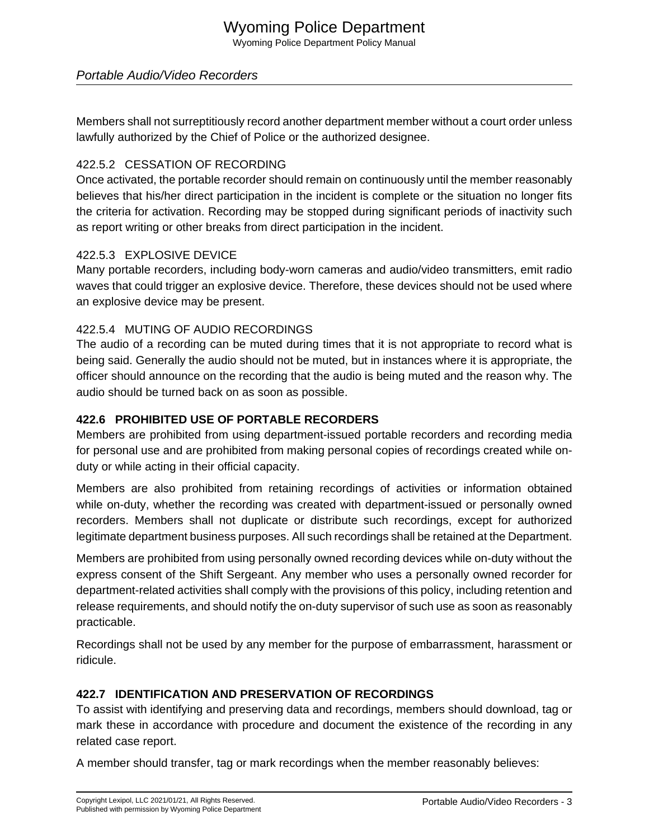# Wyoming Police Department Wyoming Police Department Policy Manual

# Portable Audio/Video Recorders

Members shall not surreptitiously record another department member without a court order unless lawfully authorized by the Chief of Police or the authorized designee.

#### 422.5.2 CESSATION OF RECORDING

Once activated, the portable recorder should remain on continuously until the member reasonably believes that his/her direct participation in the incident is complete or the situation no longer fits the criteria for activation. Recording may be stopped during significant periods of inactivity such as report writing or other breaks from direct participation in the incident.

#### 422.5.3 EXPLOSIVE DEVICE

Many portable recorders, including body-worn cameras and audio/video transmitters, emit radio waves that could trigger an explosive device. Therefore, these devices should not be used where an explosive device may be present.

## 422.5.4 MUTING OF AUDIO RECORDINGS

The audio of a recording can be muted during times that it is not appropriate to record what is being said. Generally the audio should not be muted, but in instances where it is appropriate, the officer should announce on the recording that the audio is being muted and the reason why. The audio should be turned back on as soon as possible.

#### **422.6 PROHIBITED USE OF PORTABLE RECORDERS**

Members are prohibited from using department-issued portable recorders and recording media for personal use and are prohibited from making personal copies of recordings created while onduty or while acting in their official capacity.

Members are also prohibited from retaining recordings of activities or information obtained while on-duty, whether the recording was created with department-issued or personally owned recorders. Members shall not duplicate or distribute such recordings, except for authorized legitimate department business purposes. All such recordings shall be retained at the Department.

Members are prohibited from using personally owned recording devices while on-duty without the express consent of the Shift Sergeant. Any member who uses a personally owned recorder for department-related activities shall comply with the provisions of this policy, including retention and release requirements, and should notify the on-duty supervisor of such use as soon as reasonably practicable.

Recordings shall not be used by any member for the purpose of embarrassment, harassment or ridicule.

# **422.7 IDENTIFICATION AND PRESERVATION OF RECORDINGS**

To assist with identifying and preserving data and recordings, members should download, tag or mark these in accordance with procedure and document the existence of the recording in any related case report.

A member should transfer, tag or mark recordings when the member reasonably believes: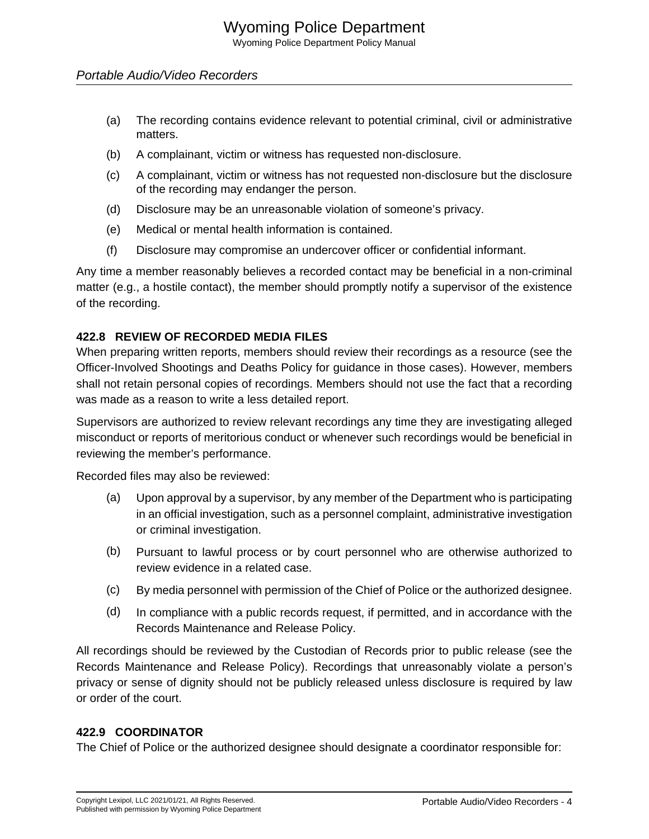# Portable Audio/Video Recorders

- (a) The recording contains evidence relevant to potential criminal, civil or administrative matters.
- (b) A complainant, victim or witness has requested non-disclosure.
- (c) A complainant, victim or witness has not requested non-disclosure but the disclosure of the recording may endanger the person.
- (d) Disclosure may be an unreasonable violation of someone's privacy.
- (e) Medical or mental health information is contained.
- (f) Disclosure may compromise an undercover officer or confidential informant.

Any time a member reasonably believes a recorded contact may be beneficial in a non-criminal matter (e.g., a hostile contact), the member should promptly notify a supervisor of the existence of the recording.

## **422.8 REVIEW OF RECORDED MEDIA FILES**

When preparing written reports, members should review their recordings as a resource (see the Officer-Involved Shootings and Deaths Policy for guidance in those cases). However, members shall not retain personal copies of recordings. Members should not use the fact that a recording was made as a reason to write a less detailed report.

Supervisors are authorized to review relevant recordings any time they are investigating alleged misconduct or reports of meritorious conduct or whenever such recordings would be beneficial in reviewing the member's performance.

Recorded files may also be reviewed:

- (a) Upon approval by a supervisor, by any member of the Department who is participating in an official investigation, such as a personnel complaint, administrative investigation or criminal investigation.
- (b) Pursuant to lawful process or by court personnel who are otherwise authorized to review evidence in a related case.
- (c) By media personnel with permission of the Chief of Police or the authorized designee.
- (d) In compliance with a public records request, if permitted, and in accordance with the Records Maintenance and Release Policy.

All recordings should be reviewed by the Custodian of Records prior to public release (see the Records Maintenance and Release Policy). Recordings that unreasonably violate a person's privacy or sense of dignity should not be publicly released unless disclosure is required by law or order of the court.

# **422.9 COORDINATOR**

The Chief of Police or the authorized designee should designate a coordinator responsible for: